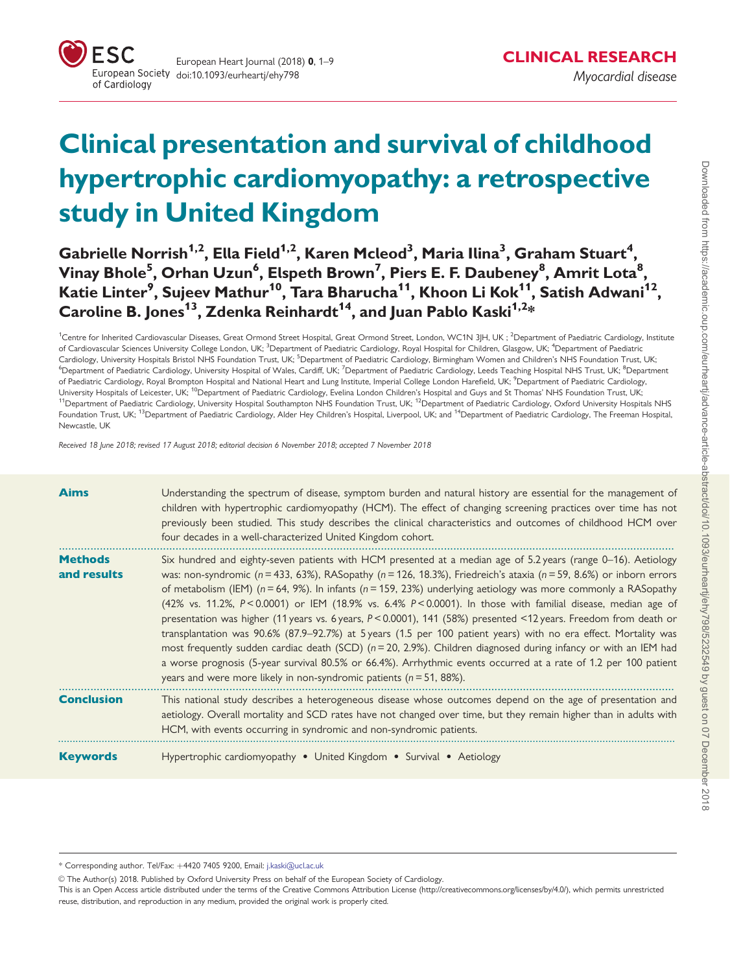

# Clinical presentation and survival of childhood hypertrophic cardiomyopathy: a retrospective study in United Kingdom

 ${\sf Gabriel \, Norrish}^{1,2},$  Ella Field $^{1,2},$  Karen Mcleod $^3,$  Maria Ilina $^3,$  Graham Stuart $^4,$ Vinay Bhole $^5$ , Orhan Uzun $^6$ , Elspeth Brown $^7$ , Piers E. F. Daubeney $^8$ , Amrit Lota $^8,$ Katie Linter<sup>9</sup>, Sujeev Mathur<sup>10</sup>, Tara Bharucha<sup>11</sup>, Khoon Li Kok<sup>11</sup>, Satish Adwani<sup>12</sup>, Caroline B. Jones<sup>13</sup>, Zdenka Reinhardt<sup>14</sup>, and Juan Pablo Kaski<sup>1,2\*</sup>

<sup>1</sup>Centre for Inherited Cardiovascular Diseases, Great Ormond Street Hospital, Great Ormond Street, London, WC1N 3JH, UK ; <sup>2</sup>Department of Paediatric Cardiology, Institute of Cardiovascular Sciences University College London, UK; <sup>3</sup>Department of Paediatric Cardiology, Royal Hospital for Children, Glasgow, UK; <sup>4</sup>Department of Paediatric Cardiology, University Hospitals Bristol NHS Foundation Trust, UK; <sup>5</sup>Department of Paediatric Cardiology, Birmingham Women and Children's NHS Foundation Trust, UK; <sup>6</sup>Department of Paediatric Cardiology, University Hospital of Wales, Cardiff, UK; <sup>7</sup>Department of Paediatric Cardiology, Leeds Teaching Hospital NHS Trust, UK; <sup>8</sup>Department of Paediatric Cardiology, Royal Brompton Hospital and National Heart and Lung Institute, Imperial College London Harefield, UK; <sup>9</sup>Department of Paediatric Cardiology, University Hospitals of Leicester, UK; <sup>10</sup>Department of Paediatric Cardiology, Evelina London Children's Hospital and Guys and St Thomas' NHS Foundation Trust, UK; <sup>11</sup>Department of Paediatric Cardiology, University Hospital Southampton NHS Foundation Trust, UK; <sup>12</sup>Department of Paediatric Cardiology, Oxford University Hospitals NHS Foundation Trust, UK; <sup>13</sup>Department of Paediatric Cardiology, Alder Hey Children's Hospital, Liverpool, UK; and <sup>14</sup>Department of Paediatric Cardiology, The Freeman Hospital, Newcastle, UK

Received 18 June 2018; revised 17 August 2018; editorial decision 6 November 2018; accepted 7 November 2018

| <b>Aims</b>                   | Understanding the spectrum of disease, symptom burden and natural history are essential for the management of<br>children with hypertrophic cardiomyopathy (HCM). The effect of changing screening practices over time has not<br>previously been studied. This study describes the clinical characteristics and outcomes of childhood HCM over<br>four decades in a well-characterized United Kingdom cohort.                                                                                                                                                                                                                                                                                                                                                                                                                                                                                                                                                                                                                                          |
|-------------------------------|---------------------------------------------------------------------------------------------------------------------------------------------------------------------------------------------------------------------------------------------------------------------------------------------------------------------------------------------------------------------------------------------------------------------------------------------------------------------------------------------------------------------------------------------------------------------------------------------------------------------------------------------------------------------------------------------------------------------------------------------------------------------------------------------------------------------------------------------------------------------------------------------------------------------------------------------------------------------------------------------------------------------------------------------------------|
| <b>Methods</b><br>and results | Six hundred and eighty-seven patients with HCM presented at a median age of 5.2 years (range 0-16). Aetiology<br>was: non-syndromic ( $n = 433$ , 63%), RASopathy ( $n = 126$ , 18.3%), Friedreich's ataxia ( $n = 59$ , 8.6%) or inborn errors<br>of metabolism (IEM) ( $n = 64$ , 9%). In infants ( $n = 159$ , 23%) underlying aetiology was more commonly a RASopathy<br>(42% vs. 11.2%, $P < 0.0001$ ) or IEM (18.9% vs. 6.4% $P < 0.0001$ ). In those with familial disease, median age of<br>presentation was higher (11 years vs. 6 years, P<0.0001), 141 (58%) presented <12 years. Freedom from death or<br>transplantation was 90.6% (87.9–92.7%) at 5 years (1.5 per 100 patient years) with no era effect. Mortality was<br>most frequently sudden cardiac death (SCD) $(n=20, 2.9%)$ . Children diagnosed during infancy or with an IEM had<br>a worse prognosis (5-year survival 80.5% or 66.4%). Arrhythmic events occurred at a rate of 1.2 per 100 patient<br>years and were more likely in non-syndromic patients ( $n = 51$ , 88%). |
| <b>Conclusion</b>             | This national study describes a heterogeneous disease whose outcomes depend on the age of presentation and<br>aetiology. Overall mortality and SCD rates have not changed over time, but they remain higher than in adults with<br>HCM, with events occurring in syndromic and non-syndromic patients.                                                                                                                                                                                                                                                                                                                                                                                                                                                                                                                                                                                                                                                                                                                                                  |
| <b>Keywords</b>               | Hypertrophic cardiomyopathy . United Kingdom . Survival . Aetiology                                                                                                                                                                                                                                                                                                                                                                                                                                                                                                                                                                                                                                                                                                                                                                                                                                                                                                                                                                                     |

\* Corresponding author. Tel/Fax: þ4420 7405 9200, Email: [j.kaski@ucl.ac.uk](mailto:)

© The Author(s) 2018. Published by Oxford University Press on behalf of the European Society of Cardiology.

This is an Open Access article distributed under the terms of the Creative Commons Attribution License (http://creativecommons.org/licenses/by/4.0/), which permits unrestricted reuse, distribution, and reproduction in any medium, provided the original work is properly cited.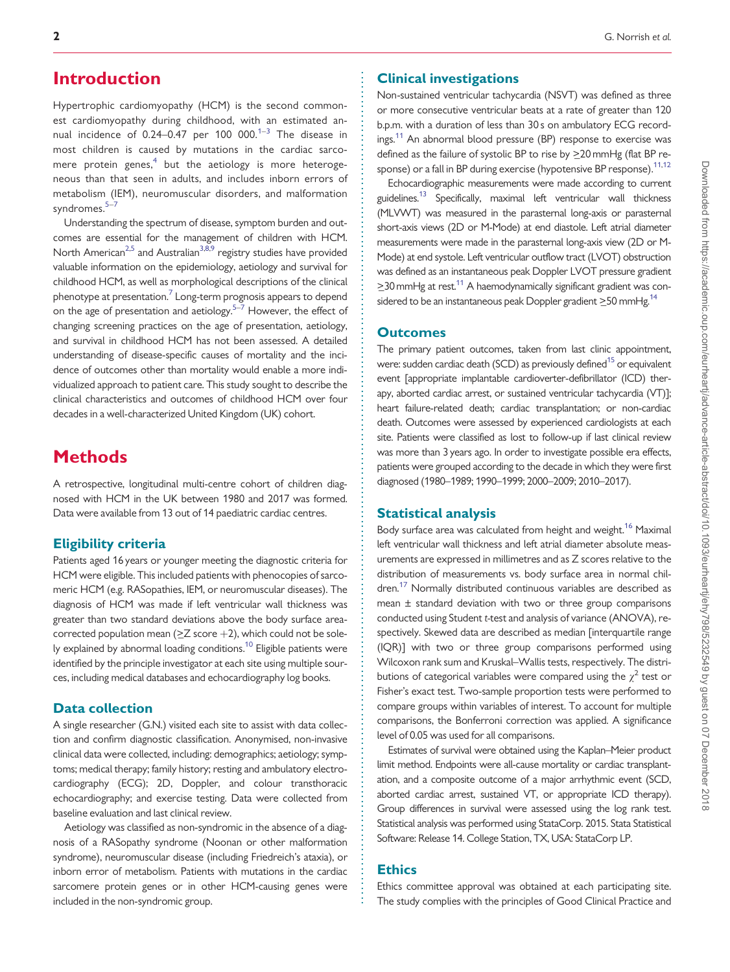## <span id="page-1-0"></span>**Introduction**

Hypertrophic cardiomyopathy (HCM) is the second commonest cardiomyopathy during childhood, with an estimated annual incidence of 0.24–0.47 per 100 000. $1-3$  The disease in most children is caused by mutations in the cardiac sarco-mere protein genes,<sup>[4](#page-7-0)</sup> but the aetiology is more heterogeneous than that seen in adults, and includes inborn errors of metabolism (IEM), neuromuscular disorders, and malformation syndromes.<sup>[5](#page-7-0)-[7](#page-7-0)</sup>

Understanding the spectrum of disease, symptom burden and outcomes are essential for the management of children with HCM. North American<sup>2,[5](#page-7-0)</sup> and Australian<sup>3,8,9</sup> registry studies have provided valuable information on the epidemiology, aetiology and survival for childhood HCM, as well as morphological descriptions of the clinical phenotype at presentation. $\frac{7}{7}$  $\frac{7}{7}$  $\frac{7}{7}$  Long-term prognosis appears to depend on the age of presentation and aetiology. $5-7$  However, the effect of changing screening practices on the age of presentation, aetiology, and survival in childhood HCM has not been assessed. A detailed understanding of disease-specific causes of mortality and the incidence of outcomes other than mortality would enable a more individualized approach to patient care. This study sought to describe the clinical characteristics and outcomes of childhood HCM over four decades in a well-characterized United Kingdom (UK) cohort.

# **Methods**

A retrospective, longitudinal multi-centre cohort of children diagnosed with HCM in the UK between 1980 and 2017 was formed. Data were available from 13 out of 14 paediatric cardiac centres.

#### Eligibility criteria

Patients aged 16 years or younger meeting the diagnostic criteria for HCM were eligible. This included patients with phenocopies of sarcomeric HCM (e.g. RASopathies, IEM, or neuromuscular diseases). The diagnosis of HCM was made if left ventricular wall thickness was greater than two standard deviations above the body surface areacorrected population mean ( $\geq$ Z score +2), which could not be sole-ly explained by abnormal loading conditions.<sup>[10](#page-7-0)</sup> Eligible patients were identified by the principle investigator at each site using multiple sources, including medical databases and echocardiography log books.

#### Data collection

A single researcher (G.N.) visited each site to assist with data collection and confirm diagnostic classification. Anonymised, non-invasive clinical data were collected, including: demographics; aetiology; symptoms; medical therapy; family history; resting and ambulatory electrocardiography (ECG); 2D, Doppler, and colour transthoracic echocardiography; and exercise testing. Data were collected from baseline evaluation and last clinical review.

Aetiology was classified as non-syndromic in the absence of a diagnosis of a RASopathy syndrome (Noonan or other malformation syndrome), neuromuscular disease (including Friedreich's ataxia), or inborn error of metabolism. Patients with mutations in the cardiac sarcomere protein genes or in other HCM-causing genes were included in the non-syndromic group.

#### Clinical investigations

Non-sustained ventricular tachycardia (NSVT) was defined as three or more consecutive ventricular beats at a rate of greater than 120 b.p.m. with a duration of less than 30 s on ambulatory ECG record-ings.<sup>[11](#page-7-0)</sup> An abnormal blood pressure (BP) response to exercise was defined as the failure of systolic BP to rise by >20 mmHg (flat BP response) or a fall in BP during exercise (hypotensive BP response).<sup>11,12</sup>

Echocardiographic measurements were made according to current guidelines.<sup>13</sup> Specifically, maximal left ventricular wall thickness (MLVWT) was measured in the parasternal long-axis or parasternal short-axis views (2D or M-Mode) at end diastole. Left atrial diameter measurements were made in the parasternal long-axis view (2D or M-Mode) at end systole. Left ventricular outflow tract (LVOT) obstruction was defined as an instantaneous peak Doppler LVOT pressure gradient  $\geq$ 30 mmHg at rest.<sup>11</sup> A haemodynamically significant gradient was considered to be an instantaneous peak Doppler gradient  $\geq$ 50 mmHg.<sup>14</sup>

#### **Outcomes**

The primary patient outcomes, taken from last clinic appointment, were: sudden cardiac death (SCD) as previously defined<sup>15</sup> or equivalent event [appropriate implantable cardioverter-defibrillator (ICD) therapy, aborted cardiac arrest, or sustained ventricular tachycardia (VT)]; heart failure-related death; cardiac transplantation; or non-cardiac death. Outcomes were assessed by experienced cardiologists at each site. Patients were classified as lost to follow-up if last clinical review was more than 3 years ago. In order to investigate possible era effects, patients were grouped according to the decade in which they were first diagnosed (1980–1989; 1990–1999; 2000–2009; 2010–2017).

#### Statistical analysis

Body surface area was calculated from height and weight.<sup>16</sup> Maximal left ventricular wall thickness and left atrial diameter absolute measurements are expressed in millimetres and as Z scores relative to the distribution of measurements vs. body surface area in normal children.[17](#page-8-0) Normally distributed continuous variables are described as mean ± standard deviation with two or three group comparisons conducted using Student t-test and analysis of variance (ANOVA), respectively. Skewed data are described as median [interquartile range (IQR)] with two or three group comparisons performed using Wilcoxon rank sum and Kruskal–Wallis tests, respectively. The distributions of categorical variables were compared using the  $\chi^2$  test or Fisher's exact test. Two-sample proportion tests were performed to compare groups within variables of interest. To account for multiple comparisons, the Bonferroni correction was applied. A significance level of 0.05 was used for all comparisons.

Estimates of survival were obtained using the Kaplan–Meier product limit method. Endpoints were all-cause mortality or cardiac transplantation, and a composite outcome of a major arrhythmic event (SCD, aborted cardiac arrest, sustained VT, or appropriate ICD therapy). Group differences in survival were assessed using the log rank test. Statistical analysis was performed using StataCorp. 2015. Stata Statistical Software: Release 14. College Station, TX, USA: StataCorp LP.

#### **Ethics**

. . . . . . . . . . . . . . . . . . . . . . . . . . . . . . . . . . . . . . . . . . . . . . . . . . . . . . . . . . . . . . . . . . . . . . . . . . . . . . . . . . . . . . . . . . . . . . . . . . . . . . . . . . . . . . . . . . . . . . . . . . . . . . . . . . . . . . . . . . . . . . . . . . . . . . . . . . . . . . . . . . . . . . . . . . . .

Ethics committee approval was obtained at each participating site. The study complies with the principles of Good Clinical Practice and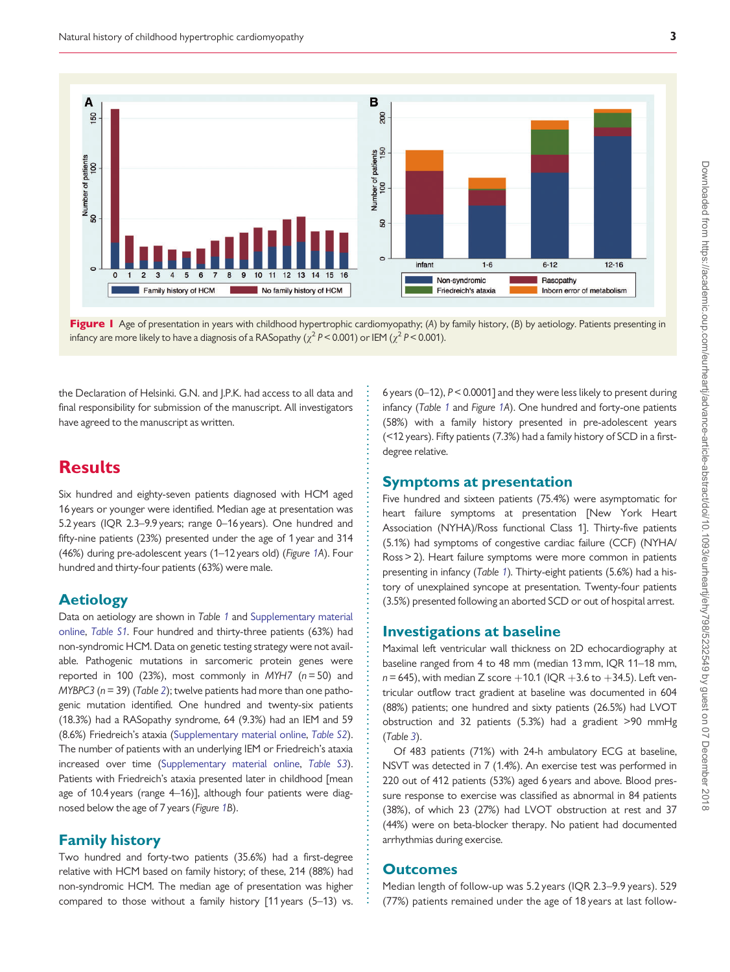

Figure 1 Age of presentation in years with childhood hypertrophic cardiomyopathy; (A) by family history, (B) by aetiology. Patients presenting in infancy are more likely to have a diagnosis of a RASopathy ( $\chi^2$  P < 0.001) or IEM ( $\chi^2$  P < 0.001).

the Declaration of Helsinki. G.N. and J.P.K. had access to all data and final responsibility for submission of the manuscript. All investigators have agreed to the manuscript as written.

## Results

Six hundred and eighty-seven patients diagnosed with HCM aged 16 years or younger were identified. Median age at presentation was 5.2 years (IQR 2.3–9.9 years; range 0–16 years). One hundred and fifty-nine patients (23%) presented under the age of 1 year and 314 (46%) during pre-adolescent years (1–12 years old) (Figure 1A). Four hundred and thirty-four patients (63%) were male.

#### Aetiology

Data on aetiology are shown in Table [1](#page-3-0) and [Supplementary material](https://academic.oup.com/eurheartj/article-lookup/doi/10.1093/eurheartj/ehy798#supplementary-data) [online](https://academic.oup.com/eurheartj/article-lookup/doi/10.1093/eurheartj/ehy798#supplementary-data), [Table S1.](https://academic.oup.com/eurheartj/article-lookup/doi/10.1093/eurheartj/ehy798#supplementary-data) Four hundred and thirty-three patients (63%) had non-syndromic HCM. Data on genetic testing strategy were not available. Pathogenic mutations in sarcomeric protein genes were reported in 100 (23%), most commonly in MYH7 ( $n = 50$ ) and  $MYBPC3$  ( $n = 39$ ) (Table [2](#page-3-0)); twelve patients had more than one pathogenic mutation identified. One hundred and twenty-six patients (18.3%) had a RASopathy syndrome, 64 (9.3%) had an IEM and 59 (8.6%) Friedreich's ataxia [\(Supplementary material online,](https://academic.oup.com/eurheartj/article-lookup/doi/10.1093/eurheartj/ehy798#supplementary-data) [Table S2](https://academic.oup.com/eurheartj/article-lookup/doi/10.1093/eurheartj/ehy798#supplementary-data)). The number of patients with an underlying IEM or Friedreich's ataxia increased over time ([Supplementary material online,](https://academic.oup.com/eurheartj/article-lookup/doi/10.1093/eurheartj/ehy798#supplementary-data) [Table S3](https://academic.oup.com/eurheartj/article-lookup/doi/10.1093/eurheartj/ehy798#supplementary-data)). Patients with Friedreich's ataxia presented later in childhood [mean age of 10.4 years (range 4–16)], although four patients were diagnosed below the age of 7 years (Figure 1B).

#### Family history

Two hundred and forty-two patients (35.6%) had a first-degree relative with HCM based on family history; of these, 214 (88%) had non-syndromic HCM. The median age of presentation was higher compared to those without a family history [11 years (5–13) vs.

6 years (0–12), P< 0.0001] and they were less likely to present during infancy (Table [1](#page-3-0) and Figure 1A). One hundred and forty-one patients (58%) with a family history presented in pre-adolescent years (<12 years). Fifty patients (7.3%) had a family history of SCD in a firstdegree relative.

#### Symptoms at presentation

Five hundred and sixteen patients (75.4%) were asymptomatic for heart failure symptoms at presentation [New York Heart Association (NYHA)/Ross functional Class 1]. Thirty-five patients (5.1%) had symptoms of congestive cardiac failure (CCF) (NYHA/ Ross > 2). Heart failure symptoms were more common in patients presenting in infancy (Table [1](#page-3-0)). Thirty-eight patients (5.6%) had a history of unexplained syncope at presentation. Twenty-four patients (3.5%) presented following an aborted SCD or out of hospital arrest.

#### Investigations at baseline

Maximal left ventricular wall thickness on 2D echocardiography at baseline ranged from 4 to 48 mm (median 13 mm, IQR 11–18 mm,  $n = 645$ ), with median Z score  $+10.1$  (IQR  $+3.6$  to  $+34.5$ ). Left ventricular outflow tract gradient at baseline was documented in 604 (88%) patients; one hundred and sixty patients (26.5%) had LVOT obstruction and 32 patients (5.3%) had a gradient >90 mmHg (Table [3](#page-4-0)).

Of 483 patients (71%) with 24-h ambulatory ECG at baseline, NSVT was detected in 7 (1.4%). An exercise test was performed in 220 out of 412 patients (53%) aged 6 years and above. Blood pressure response to exercise was classified as abnormal in 84 patients (38%), of which 23 (27%) had LVOT obstruction at rest and 37 (44%) were on beta-blocker therapy. No patient had documented arrhythmias during exercise.

#### **Outcomes**

. . . . . . . . . . . . . . . . . . . . . . . . . . . . . . . . . . . . . . . . . . . . . . . . . . . . . . . . . . . . . . . . . . . . . . . . . . . . . . . . . . . . . . . . . . . . . . . . . . . . . . . . . . .

Median length of follow-up was 5.2 years (IQR 2.3–9.9 years). 529 (77%) patients remained under the age of 18 years at last follow-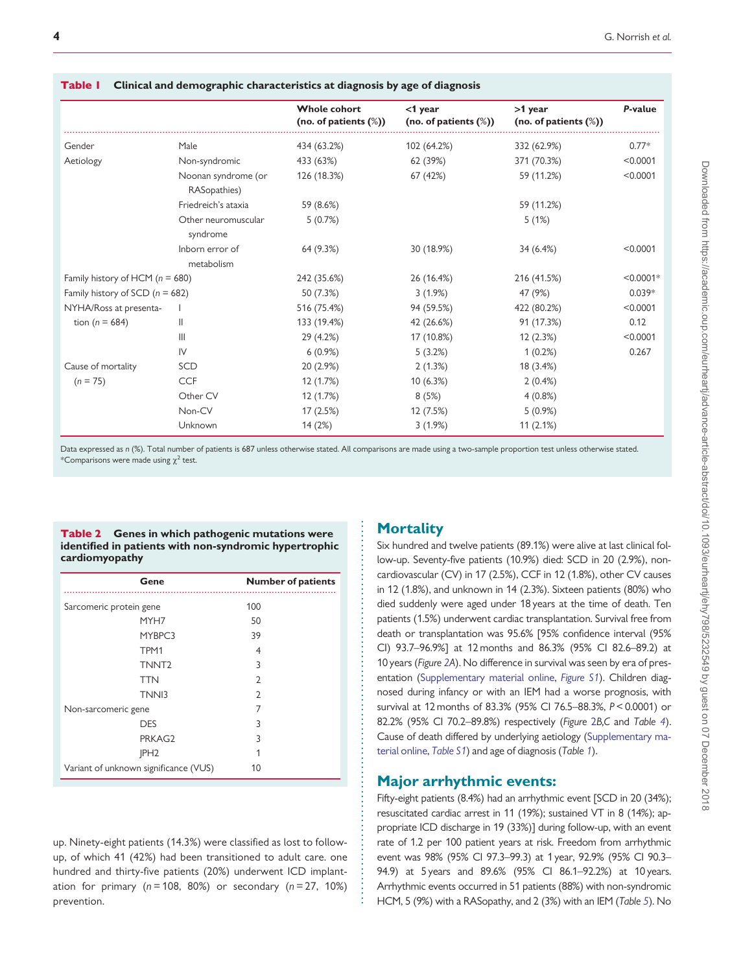|                                     |                                     | <b>Whole cohort</b><br>(no. of patients $(\%)$ ) | $<$ 1 year<br>(no. of patients $(\%)$ ) | $>1$ year<br>(no. of patients (%)) | P-value     |
|-------------------------------------|-------------------------------------|--------------------------------------------------|-----------------------------------------|------------------------------------|-------------|
| Gender                              | Male                                | 434 (63.2%)                                      | 102 (64.2%)                             | 332 (62.9%)                        | $0.77*$     |
| Aetiology                           | Non-syndromic                       | 433 (63%)                                        | 62 (39%)                                | 371 (70.3%)                        | < 0.0001    |
|                                     | Noonan syndrome (or<br>RASopathies) | 126 (18.3%)                                      | 67 (42%)                                | 59 (11.2%)                         | < 0.0001    |
|                                     | Friedreich's ataxia                 | 59 (8.6%)                                        |                                         | 59 (11.2%)                         |             |
|                                     | Other neuromuscular<br>syndrome     | 5(0.7%)                                          |                                         | 5(1%)                              |             |
|                                     | Inborn error of<br>metabolism       | 64 (9.3%)                                        | 30 (18.9%)                              | 34 (6.4%)                          | < 0.0001    |
| Family history of HCM ( $n = 680$ ) |                                     | 242 (35.6%)                                      | 26 (16.4%)                              | 216 (41.5%)                        | $< 0.0001*$ |
| Family history of SCD $(n = 682)$   |                                     | 50 (7.3%)                                        | 3(1.9%)                                 | 47 (9%)                            | $0.039*$    |
| NYHA/Ross at presenta-              |                                     | 516 (75.4%)                                      | 94 (59.5%)                              | 422 (80.2%)                        | < 0.0001    |
| tion ( $n = 684$ )                  | Ш                                   | 133 (19.4%)                                      | 42 (26.6%)                              | 91 (17.3%)                         | 0.12        |
|                                     | Ш                                   | 29 (4.2%)                                        | 17 (10.8%)                              | 12 (2.3%)                          | < 0.0001    |
|                                     | IV                                  | $6(0.9\%)$                                       | 5(3.2%)                                 | 1(0.2%)                            | 0.267       |
| Cause of mortality                  | SCD                                 | 20 (2.9%)                                        | 2(1.3%)                                 | 18 (3.4%)                          |             |
| $(n = 75)$                          | <b>CCF</b>                          | 12 (1.7%)                                        | 10(6.3%)                                | 2(0.4%)                            |             |
|                                     | Other CV                            | 12 (1.7%)                                        | 8(5%)                                   | 4(0.8%)                            |             |
|                                     | Non-CV                              | 17(2.5%)                                         | 12 (7.5%)                               | $5(0.9\%)$                         |             |
|                                     | Unknown                             | 14(2%)                                           | 3(1.9%)                                 | 11(2.1%)                           |             |

#### <span id="page-3-0"></span>Table 1 Clinical and demographic characteristics at diagnosis by age of diagnosis

Data expressed as n (%). Total number of patients is 687 unless otherwise stated. All comparisons are made using a two-sample proportion test unless otherwise stated. \*Comparisons were made using  $\chi^2$  test.

> . . . . . . . . . . . . . . . . . . . . . . . . . . . . . . . . . . . . . . . . . . . . . . . . . . . . . . . . . . . . . . . . . . . . . . . . . . . . . . . .

|                | <b>Table 2</b> Genes in which pathogenic mutations were |
|----------------|---------------------------------------------------------|
|                | identified in patients with non-syndromic hypertrophic  |
| cardiomyopathy |                                                         |

| Gene                                  | <b>Number of patients</b> |
|---------------------------------------|---------------------------|
| Sarcomeric protein gene               | 100                       |
| MYH7                                  | 50                        |
| MYBPC3                                | 39                        |
| TPM1                                  | 4                         |
| TNNT <sub>2</sub>                     | 3                         |
| <b>TTN</b>                            | $\mathcal{D}$             |
| TNN <sub>13</sub>                     | $\mathcal{D}$             |
| Non-sarcomeric gene                   | 7                         |
| <b>DES</b>                            | 3                         |
| PRKAG2                                | 3                         |
| JPH <sub>2</sub>                      |                           |
| Variant of unknown significance (VUS) | 10                        |

up. Ninety-eight patients (14.3%) were classified as lost to followup, of which 41 (42%) had been transitioned to adult care. one hundred and thirty-five patients (20%) underwent ICD implantation for primary ( $n = 108$ , 80%) or secondary ( $n = 27$ , 10%) prevention.

#### **Mortality**

Six hundred and twelve patients (89.1%) were alive at last clinical follow-up. Seventy-five patients (10.9%) died: SCD in 20 (2.9%), noncardiovascular (CV) in 17 (2.5%), CCF in 12 (1.8%), other CV causes in 12 (1.8%), and unknown in 14 (2.3%). Sixteen patients (80%) who died suddenly were aged under 18 years at the time of death. Ten patients (1.5%) underwent cardiac transplantation. Survival free from death or transplantation was 95.6% [95% confidence interval (95% CI) 93.7–96.9%] at 12 months and 86.3% (95% CI 82.6–89.2) at 10 years (Figure [2A](#page-5-0)). No difference in survival was seen by era of presentation [\(Supplementary material online,](https://academic.oup.com/eurheartj/article-lookup/doi/10.1093/eurheartj/ehy798#supplementary-data) [Figure S1](https://academic.oup.com/eurheartj/article-lookup/doi/10.1093/eurheartj/ehy798#supplementary-data)). Children diagnosed during infancy or with an IEM had a worse prognosis, with survival at 12 months of 83.3% (95% CI 76.5–88.3%, P< 0.0001) or 82.2% (95% CI 70.2–89.8%) respectively (Figure [2](#page-5-0)B,C and Table [4](#page-6-0)). Cause of death differed by underlying aetiology [\(Supplementary ma](https://academic.oup.com/eurheartj/article-lookup/doi/10.1093/eurheartj/ehy798#supplementary-data)[terial online,](https://academic.oup.com/eurheartj/article-lookup/doi/10.1093/eurheartj/ehy798#supplementary-data) [Table S1](https://academic.oup.com/eurheartj/article-lookup/doi/10.1093/eurheartj/ehy798#supplementary-data)) and age of diagnosis (Table 1).

#### Major arrhythmic events:

Fifty-eight patients (8.4%) had an arrhythmic event [SCD in 20 (34%); resuscitated cardiac arrest in 11 (19%); sustained VT in 8 (14%); appropriate ICD discharge in 19 (33%)] during follow-up, with an event rate of 1.2 per 100 patient years at risk. Freedom from arrhythmic event was 98% (95% CI 97.3–99.3) at 1 year, 92.9% (95% CI 90.3– 94.9) at 5 years and 89.6% (95% CI 86.1–92.2%) at 10 years. Arrhythmic events occurred in 51 patients (88%) with non-syndromic HCM, 5 (9%) with a RASopathy, and 2 (3%) with an IEM (Table [5](#page-6-0)). No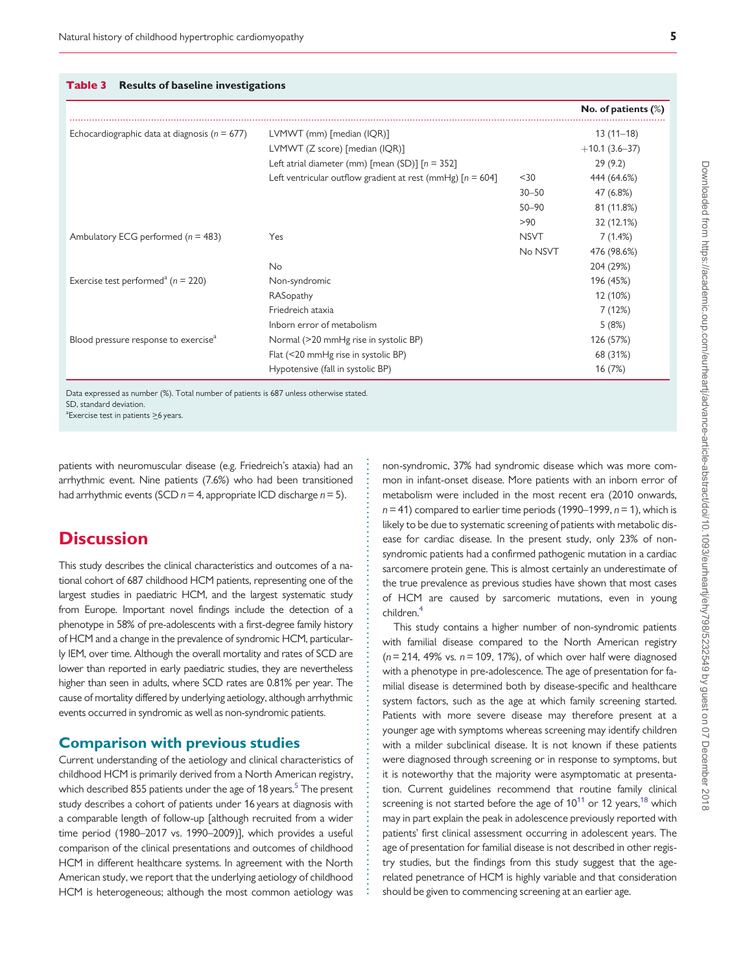<span id="page-4-0"></span>

|                                                    |                                                              |             | No. of patients $(\%)$ |
|----------------------------------------------------|--------------------------------------------------------------|-------------|------------------------|
| Echocardiographic data at diagnosis ( $n = 677$ )  | LVMWT (mm) [median (IQR)]                                    |             | $13(11-18)$            |
|                                                    | LVMWT (Z score) [median (IQR)]                               |             | $+10.1(3.6-37)$        |
|                                                    | Left atrial diameter (mm) [mean (SD)] $[n = 352]$            |             | 29(9.2)                |
|                                                    | Left ventricular outflow gradient at rest (mmHg) $[n = 604]$ | $30$        | 444 (64.6%)            |
|                                                    |                                                              | $30 - 50$   | 47 (6.8%)              |
|                                                    |                                                              | $50 - 90$   | 81 (11.8%)             |
|                                                    |                                                              | >90         | 32 (12.1%)             |
| Ambulatory ECG performed ( $n = 483$ )             | Yes                                                          | <b>NSVT</b> | 7(1.4%)                |
|                                                    |                                                              | No NSVT     | 476 (98.6%)            |
|                                                    | No                                                           |             | 204 (29%)              |
| Exercise test performed <sup>a</sup> ( $n = 220$ ) | Non-syndromic                                                |             | 196 (45%)              |
|                                                    | RASopathy                                                    |             | 12 (10%)               |
|                                                    | Friedreich ataxia                                            |             | 7(12%)                 |
|                                                    | Inborn error of metabolism                                   |             | 5(8%)                  |
| Blood pressure response to exercise <sup>a</sup>   | Normal (>20 mmHg rise in systolic BP)                        |             | 126 (57%)              |
|                                                    | Flat (<20 mmHg rise in systolic BP)                          |             | 68 (31%)               |
|                                                    | Hypotensive (fall in systolic BP)                            |             | 16 (7%)                |

. . . . . . . . . . . . . . . . . . . . . . . . . . . . . . . . . . . . . . . . . . . . . . . . . . . . . . . . . . . . . . . . . . . . . . . . . . . . . . . . . . . . . . . . . .

Data expressed as number (%). Total number of patients is 687 unless otherwise stated. SD, standard deviation.

 $a^2$ Exercise test in patients  $\geq$ 6 years.

. patients with neuromuscular disease (e.g. Friedreich's ataxia) had an arrhythmic event. Nine patients (7.6%) who had been transitioned had arrhythmic events (SCD  $n = 4$ , appropriate ICD discharge  $n = 5$ ).

# **Discussion**

This study describes the clinical characteristics and outcomes of a national cohort of 687 childhood HCM patients, representing one of the largest studies in paediatric HCM, and the largest systematic study from Europe. Important novel findings include the detection of a phenotype in 58% of pre-adolescents with a first-degree family history of HCM and a change in the prevalence of syndromic HCM, particularly IEM, over time. Although the overall mortality and rates of SCD are lower than reported in early paediatric studies, they are nevertheless higher than seen in adults, where SCD rates are 0.81% per year. The cause of mortality differed by underlying aetiology, although arrhythmic events occurred in syndromic as well as non-syndromic patients.

#### Comparison with previous studies

Current understanding of the aetiology and clinical characteristics of childhood HCM is primarily derived from a North American registry, which described 855 patients under the age of 18 years.<sup>5</sup> The present study describes a cohort of patients under 16 years at diagnosis with a comparable length of follow-up [although recruited from a wider time period (1980–2017 vs. 1990–2009)], which provides a useful comparison of the clinical presentations and outcomes of childhood HCM in different healthcare systems. In agreement with the North American study, we report that the underlying aetiology of childhood HCM is heterogeneous; although the most common aetiology was

non-syndromic, 37% had syndromic disease which was more common in infant-onset disease. More patients with an inborn error of metabolism were included in the most recent era (2010 onwards,  $n = 41$ ) compared to earlier time periods (1990–1999,  $n = 1$ ), which is likely to be due to systematic screening of patients with metabolic disease for cardiac disease. In the present study, only 23% of nonsyndromic patients had a confirmed pathogenic mutation in a cardiac sarcomere protein gene. This is almost certainly an underestimate of the true prevalence as previous studies have shown that most cases of HCM are caused by sarcomeric mutations, even in young children[.4](#page-7-0)

This study contains a higher number of non-syndromic patients with familial disease compared to the North American registry  $(n= 214, 49\%)$  vs.  $n = 109, 17\%)$ , of which over half were diagnosed with a phenotype in pre-adolescence. The age of presentation for familial disease is determined both by disease-specific and healthcare system factors, such as the age at which family screening started. Patients with more severe disease may therefore present at a younger age with symptoms whereas screening may identify children with a milder subclinical disease. It is not known if these patients were diagnosed through screening or in response to symptoms, but it is noteworthy that the majority were asymptomatic at presentation. Current guidelines recommend that routine family clinical screening is not started before the age of  $10^{11}$  $10^{11}$  $10^{11}$  or 12 years,  $18$  which may in part explain the peak in adolescence previously reported with patients' first clinical assessment occurring in adolescent years. The age of presentation for familial disease is not described in other registry studies, but the findings from this study suggest that the agerelated penetrance of HCM is highly variable and that consideration should be given to commencing screening at an earlier age.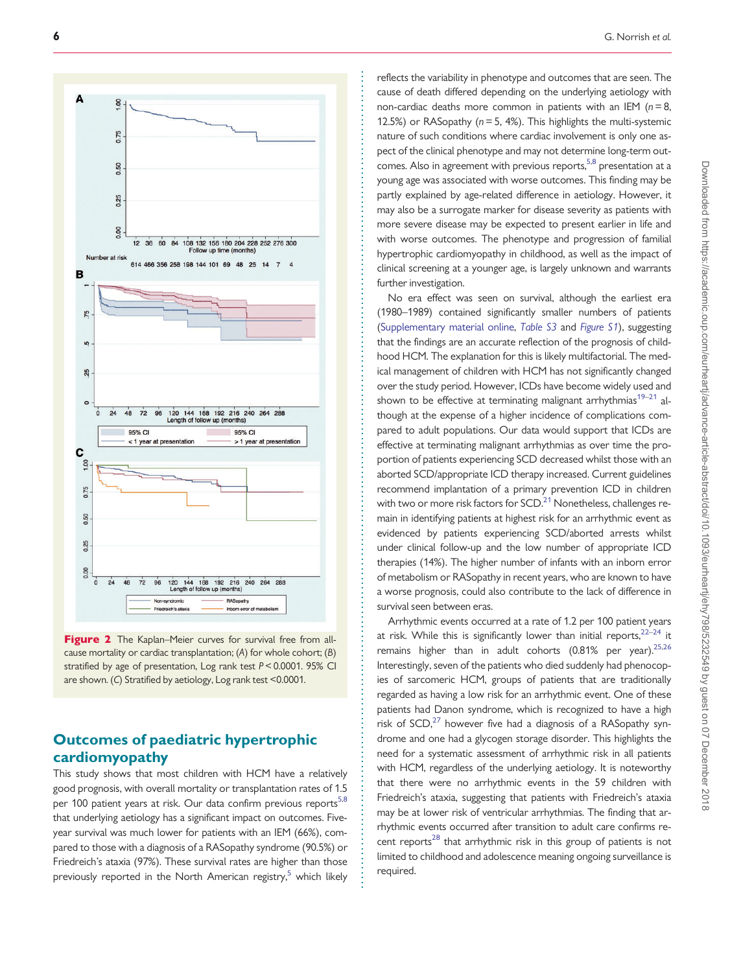<span id="page-5-0"></span>

Figure 2 The Kaplan–Meier curves for survival free from allcause mortality or cardiac transplantation; (A) for whole cohort; (B) stratified by age of presentation, Log rank test P< 0.0001. 95% CI are shown. (C) Stratified by aetiology, Log rank test <0.0001.

### Outcomes of paediatric hypertrophic cardiomyopathy

This study shows that most children with HCM have a relatively good prognosis, with overall mortality or transplantation rates of 1.5 per 100 patient years at risk. Our data confirm previous reports<sup>[5,8](#page-7-0)</sup> that underlying aetiology has a significant impact on outcomes. Fiveyear survival was much lower for patients with an IEM (66%), compared to those with a diagnosis of a RASopathy syndrome (90.5%) or Friedreich's ataxia (97%). These survival rates are higher than those previously reported in the North American registry, $5$  which likely . . . . . . . . . . . . . . . . . . . . . . . . . . . . . . . . . . . . . . . . . . . . . . . . . . . . . . . . . . . . . . . . . . . . . . . . . . . . . . . . . . . . . . . . . . . . . . . . . . . . . . . . . . . . . . . . . . . . . . . . . . . . . . . . . . . . . . . . . . . . . . . . . . . . . . . . . . . . . . . . . . . . . . . . . .

reflects the variability in phenotype and outcomes that are seen. The cause of death differed depending on the underlying aetiology with non-cardiac deaths more common in patients with an IEM  $(n = 8$ , 12.5%) or RASopathy ( $n = 5$ , 4%). This highlights the multi-systemic nature of such conditions where cardiac involvement is only one aspect of the clinical phenotype and may not determine long-term out-comes. Also in agreement with previous reports.<sup>[5,8](#page-7-0)</sup> presentation at a young age was associated with worse outcomes. This finding may be partly explained by age-related difference in aetiology. However, it may also be a surrogate marker for disease severity as patients with more severe disease may be expected to present earlier in life and with worse outcomes. The phenotype and progression of familial hypertrophic cardiomyopathy in childhood, as well as the impact of clinical screening at a younger age, is largely unknown and warrants further investigation.

No era effect was seen on survival, although the earliest era (1980–1989) contained significantly smaller numbers of patients ([Supplementary material online,](https://academic.oup.com/eurheartj/article-lookup/doi/10.1093/eurheartj/ehy798#supplementary-data) [Table S3](https://academic.oup.com/eurheartj/article-lookup/doi/10.1093/eurheartj/ehy798#supplementary-data) and [Figure S1](https://academic.oup.com/eurheartj/article-lookup/doi/10.1093/eurheartj/ehy798#supplementary-data)), suggesting that the findings are an accurate reflection of the prognosis of childhood HCM. The explanation for this is likely multifactorial. The medical management of children with HCM has not significantly changed over the study period. However, ICDs have become widely used and shown to be effective at terminating malignant arrhythmias<sup>19-[21](#page-8-0)</sup> although at the expense of a higher incidence of complications compared to adult populations. Our data would support that ICDs are effective at terminating malignant arrhythmias as over time the proportion of patients experiencing SCD decreased whilst those with an aborted SCD/appropriate ICD therapy increased. Current guidelines recommend implantation of a primary prevention ICD in children with two or more risk factors for  $SCD<sup>21</sup>$  Nonetheless, challenges remain in identifying patients at highest risk for an arrhythmic event as evidenced by patients experiencing SCD/aborted arrests whilst under clinical follow-up and the low number of appropriate ICD therapies (14%). The higher number of infants with an inborn error of metabolism or RASopathy in recent years, who are known to have a worse prognosis, could also contribute to the lack of difference in survival seen between eras.

Arrhythmic events occurred at a rate of 1.2 per 100 patient years at risk. While this is significantly lower than initial reports,  $22-24$  it remains higher than in adult cohorts  $(0.81\%$  per year).<sup>25,26</sup> Interestingly, seven of the patients who died suddenly had phenocopies of sarcomeric HCM, groups of patients that are traditionally regarded as having a low risk for an arrhythmic event. One of these patients had Danon syndrome, which is recognized to have a high risk of  $SCD<sub>1</sub><sup>27</sup>$  however five had a diagnosis of a RASopathy syndrome and one had a glycogen storage disorder. This highlights the need for a systematic assessment of arrhythmic risk in all patients with HCM, regardless of the underlying aetiology. It is noteworthy that there were no arrhythmic events in the 59 children with Friedreich's ataxia, suggesting that patients with Friedreich's ataxia may be at lower risk of ventricular arrhythmias. The finding that arrhythmic events occurred after transition to adult care confirms recent reports $^{28}$  $^{28}$  $^{28}$  that arrhythmic risk in this group of patients is not limited to childhood and adolescence meaning ongoing surveillance is required.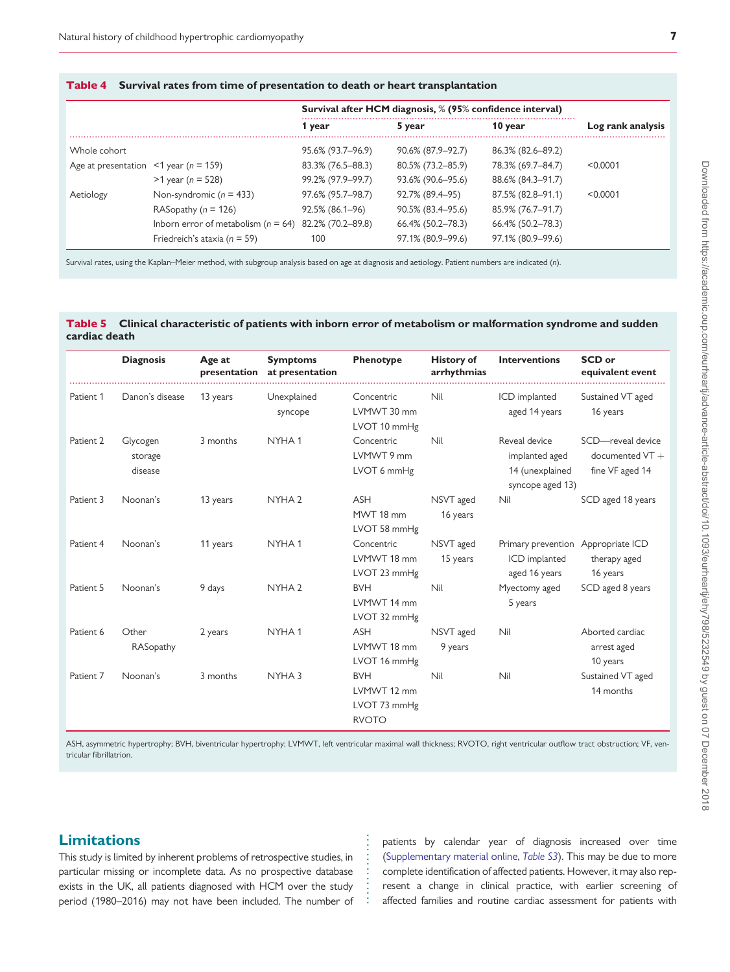|                                             |                                         | Survival after HCM diagnosis, % (95% confidence interval) |                      |                   |                   |
|---------------------------------------------|-----------------------------------------|-----------------------------------------------------------|----------------------|-------------------|-------------------|
|                                             |                                         | 1 year                                                    | 5 year               | 10 year           | Log rank analysis |
| Whole cohort                                |                                         | 95.6% (93.7–96.9)                                         | 90.6% (87.9-92.7)    | 86.3% (82.6–89.2) |                   |
| Age at presentation $\leq 1$ year (n = 159) |                                         | 83.3% (76.5–88.3)                                         | 80.5% (73.2-85.9)    | 78.3% (69.7-84.7) | < 0.0001          |
|                                             | $>1$ year (n = 528)                     | 99.2% (97.9-99.7)                                         | 93.6% (90.6–95.6)    | 88.6% (84.3–91.7) |                   |
| Aetiology                                   | Non-syndromic $(n = 433)$               | 97.6% (95.7–98.7)                                         | 92.7% (89.4-95)      | 87.5% (82.8–91.1) | < 0.0001          |
|                                             | RASopathy ( $n = 126$ )                 | 92.5% (86.1-96)                                           | $90.5\%$ (83.4–95.6) | 85.9% (76.7-91.7) |                   |
|                                             | Inborn error of metabolism ( $n = 64$ ) | 82.2% (70.2-89.8)                                         | 66.4% (50.2-78.3)    | 66.4% (50.2-78.3) |                   |
|                                             | Friedreich's ataxia ( $n = 59$ )        | 100                                                       | 97.1% (80.9-99.6)    | 97.1% (80.9–99.6) |                   |

Survival rates, using the Kaplan–Meier method, with subgroup analysis based on age at diagnosis and aetiology. Patient numbers are indicated (n).

<span id="page-6-0"></span>Table 4 Survival rates from time of presentation to death or heart transplantation

#### Table 5 Clinical characteristic of patients with inborn error of metabolism or malformation syndrome and sudden cardiac death

|           | <b>Diagnosis</b>               | Age at<br>presentation | <b>Symptoms</b><br>at presentation | Phenotype                                                 | <b>History of</b><br>arrhythmias | <b>Interventions</b>                                                   | SCD or<br>equivalent event                                |
|-----------|--------------------------------|------------------------|------------------------------------|-----------------------------------------------------------|----------------------------------|------------------------------------------------------------------------|-----------------------------------------------------------|
| Patient 1 | Danon's disease                | 13 years               | Unexplained<br>syncope             | Concentric<br>LVMWT 30 mm<br>LVOT 10 mmHg                 | Nil                              | ICD implanted<br>aged 14 years                                         | Sustained VT aged<br>16 years                             |
| Patient 2 | Glycogen<br>storage<br>disease | 3 months               | NYHA <sub>1</sub>                  | Concentric<br>LVMWT 9 mm<br>LVOT 6 mmHg                   | Nil                              | Reveal device<br>implanted aged<br>14 (unexplained<br>syncope aged 13) | SCD-reveal device<br>documented $VT +$<br>fine VF aged 14 |
| Patient 3 | Noonan's                       | 13 years               | NYHA <sub>2</sub>                  | <b>ASH</b><br>MWT 18 mm<br>LVOT 58 mmHg                   | NSVT aged<br>16 years            | Nil                                                                    | SCD aged 18 years                                         |
| Patient 4 | Noonan's                       | 11 years               | NYHA <sub>1</sub>                  | Concentric<br>LVMWT 18 mm<br>LVOT 23 mmHg                 | NSVT aged<br>15 years            | Primary prevention Appropriate ICD<br>ICD implanted<br>aged 16 years   | therapy aged<br>16 years                                  |
| Patient 5 | Noonan's                       | 9 days                 | NYHA <sub>2</sub>                  | <b>BVH</b><br>LVMWT 14 mm<br>LVOT 32 mmHg                 | Nil                              | Myectomy aged<br>5 years                                               | SCD aged 8 years                                          |
| Patient 6 | Other<br>RASopathy             | 2 years                | NYHA1                              | ASH<br>LVMWT 18 mm<br>LVOT 16 mmHg                        | NSVT aged<br>9 years             | Nil                                                                    | Aborted cardiac<br>arrest aged<br>10 years                |
| Patient 7 | Noonan's                       | 3 months               | NYHA <sub>3</sub>                  | <b>BVH</b><br>LVMWT 12 mm<br>LVOT 73 mmHg<br><b>RVOTO</b> | Nil                              | Nil                                                                    | Sustained VT aged<br>14 months                            |

ASH, asymmetric hypertrophy; BVH, biventricular hypertrophy; LVMWT, left ventricular maximal wall thickness; RVOTO, right ventricular outflow tract obstruction; VF, ventricular fibrillatrion.

> . . . . . . . . . . . . . .

#### **Limitations**

This study is limited by inherent problems of retrospective studies, in particular missing or incomplete data. As no prospective database exists in the UK, all patients diagnosed with HCM over the study period (1980–2016) may not have been included. The number of patients by calendar year of diagnosis increased over time [\(Supplementary material online](https://academic.oup.com/eurheartj/article-lookup/doi/10.1093/eurheartj/ehy798#supplementary-data), [Table S3](https://academic.oup.com/eurheartj/article-lookup/doi/10.1093/eurheartj/ehy798#supplementary-data)). This may be due to more complete identification of affected patients. However, it may also represent a change in clinical practice, with earlier screening of affected families and routine cardiac assessment for patients with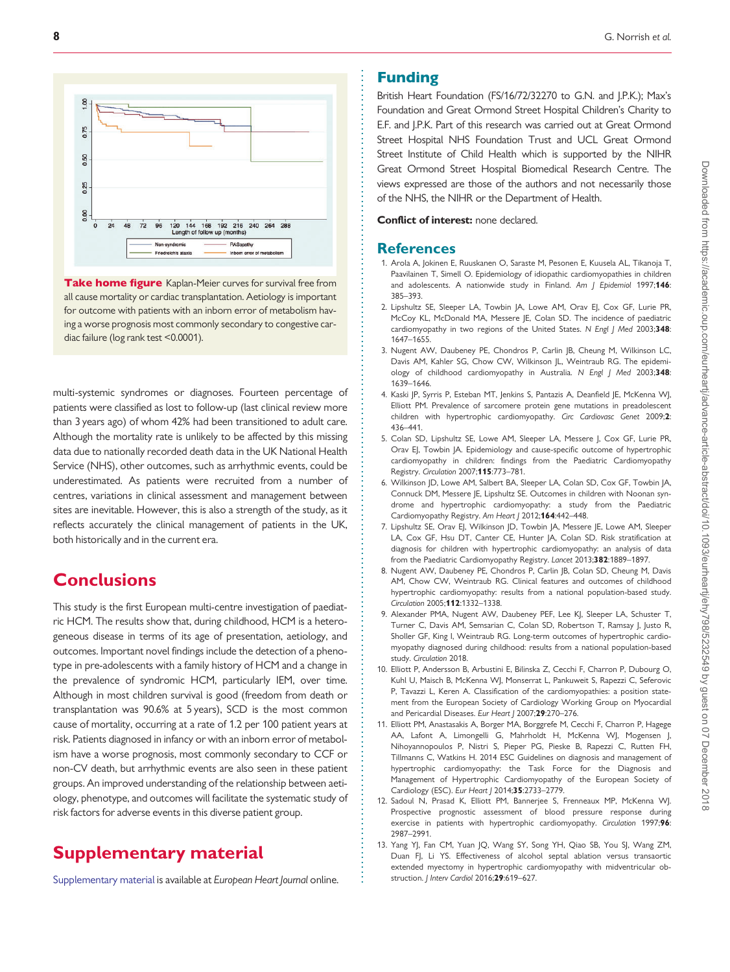<span id="page-7-0"></span>

Take home figure Kaplan-Meier curves for survival free from all cause mortality or cardiac transplantation. Aetiology is important for outcome with patients with an inborn error of metabolism having a worse prognosis most commonly secondary to congestive cardiac failure (log rank test <0.0001).

multi-systemic syndromes or diagnoses. Fourteen percentage of patients were classified as lost to follow-up (last clinical review more than 3 years ago) of whom 42% had been transitioned to adult care. Although the mortality rate is unlikely to be affected by this missing data due to nationally recorded death data in the UK National Health Service (NHS), other outcomes, such as arrhythmic events, could be underestimated. As patients were recruited from a number of centres, variations in clinical assessment and management between sites are inevitable. However, this is also a strength of the study, as it reflects accurately the clinical management of patients in the UK, both historically and in the current era.

# **Conclusions**

This study is the first European multi-centre investigation of paediatric HCM. The results show that, during childhood, HCM is a heterogeneous disease in terms of its age of presentation, aetiology, and outcomes. Important novel findings include the detection of a phenotype in pre-adolescents with a family history of HCM and a change in the prevalence of syndromic HCM, particularly IEM, over time. Although in most children survival is good (freedom from death or transplantation was 90.6% at 5 years), SCD is the most common cause of mortality, occurring at a rate of 1.2 per 100 patient years at risk. Patients diagnosed in infancy or with an inborn error of metabolism have a worse prognosis, most commonly secondary to CCF or non-CV death, but arrhythmic events are also seen in these patient groups. An improved understanding of the relationship between aetiology, phenotype, and outcomes will facilitate the systematic study of risk factors for adverse events in this diverse patient group.

# Supplementary material

[Supplementary material](https://academic.oup.com/eurheartj/article-lookup/doi/10.1093/eurheartj/ehy798#supplementary-data) is available at European Heart Journal online.

. . . . . . . . . . . . . . . . . . . . . . . . . . . . . . . . . . . . . . . . . . . . . . . . . . . . . . . . . . . . . . . . . . . . . . . . . . . . . . . . . . . . . . . . . . . . . . . . . . . . . . . . . . . . . . . . . . . . . . . . . . . . . . . . . . . . . . . . . . . . . . . . . . . . . . . . . . . . . . . . . . . . . . . . .

#### Funding

British Heart Foundation (FS/16/72/32270 to G.N. and J.P.K.); Max's Foundation and Great Ormond Street Hospital Children's Charity to E.F. and J.P.K. Part of this research was carried out at Great Ormond Street Hospital NHS Foundation Trust and UCL Great Ormond Street Institute of Child Health which is supported by the NIHR Great Ormond Street Hospital Biomedical Research Centre. The views expressed are those of the authors and not necessarily those of the NHS, the NIHR or the Department of Health.

Conflict of interest: none declared.

#### **References**

- 1. Arola A, Jokinen E, Ruuskanen O, Saraste M, Pesonen E, Kuusela AL, Tikanoja T, Paavilainen T, Simell O. Epidemiology of idiopathic cardiomyopathies in children and adolescents. A nationwide study in Finland. Am | Epidemiol 1997;146: 385–393.
- [2.](#page-1-0) Lipshultz SE, Sleeper LA, Towbin JA, Lowe AM, Orav EJ, Cox GF, Lurie PR, McCoy KL, McDonald MA, Messere JE, Colan SD. The incidence of paediatric cardiomyopathy in two regions of the United States. N Engl J Med 2003;348: 1647–1655.
- [3.](#page-1-0) Nugent AW, Daubeney PE, Chondros P, Carlin JB, Cheung M, Wilkinson LC, Davis AM, Kahler SG, Chow CW, Wilkinson JL, Weintraub RG. The epidemiology of childhood cardiomyopathy in Australia. N Engl J Med 2003;348: 1639–1646.
- [4.](#page-1-0) Kaski JP, Syrris P, Esteban MT, Jenkins S, Pantazis A, Deanfield JE, McKenna WJ, Elliott PM. Prevalence of sarcomere protein gene mutations in preadolescent children with hypertrophic cardiomyopathy. Circ Cardiovasc Genet 2009;2: 436–441.
- [5.](#page-1-0) Colan SD, Lipshultz SE, Lowe AM, Sleeper LA, Messere J, Cox GF, Lurie PR, Orav EJ, Towbin JA. Epidemiology and cause-specific outcome of hypertrophic cardiomyopathy in children: findings from the Paediatric Cardiomyopathy Registry. Circulation 2007;115:773–781.
- 6. Wilkinson JD, Lowe AM, Salbert BA, Sleeper LA, Colan SD, Cox GF, Towbin JA, Connuck DM, Messere JE, Lipshultz SE. Outcomes in children with Noonan syndrome and hypertrophic cardiomyopathy: a study from the Paediatric Cardiomyopathy Registry. Am Heart J 2012;164:442-448.
- [7.](#page-1-0) Lipshultz SE, Orav EJ, Wilkinson JD, Towbin JA, Messere JE, Lowe AM, Sleeper LA, Cox GF, Hsu DT, Canter CE, Hunter JA, Colan SD. Risk stratification at diagnosis for children with hypertrophic cardiomyopathy: an analysis of data from the Paediatric Cardiomyopathy Registry. Lancet 2013;382:1889–1897.
- [8.](#page-1-0) Nugent AW, Daubeney PE, Chondros P, Carlin JB, Colan SD, Cheung M, Davis AM, Chow CW, Weintraub RG. Clinical features and outcomes of childhood hypertrophic cardiomyopathy: results from a national population-based study. Circulation 2005;112:1332–1338.
- [9.](#page-1-0) Alexander PMA, Nugent AW, Daubeney PEF, Lee KJ, Sleeper LA, Schuster T, Turner C, Davis AM, Semsarian C, Colan SD, Robertson T, Ramsay J, Justo R, Sholler GF, King I, Weintraub RG. Long-term outcomes of hypertrophic cardiomyopathy diagnosed during childhood: results from a national population-based study. Circulation 2018.
- [10.](#page-1-0) Elliott P, Andersson B, Arbustini E, Bilinska Z, Cecchi F, Charron P, Dubourg O, Kuhl U, Maisch B, McKenna WJ, Monserrat L, Pankuweit S, Rapezzi C, Seferovic P, Tavazzi L, Keren A. Classification of the cardiomyopathies: a position statement from the European Society of Cardiology Working Group on Myocardial and Pericardial Diseases. Eur Heart J 2007;29:270-276.
- [11.](#page-1-0) Elliott PM, Anastasakis A, Borger MA, Borggrefe M, Cecchi F, Charron P, Hagege AA, Lafont A, Limongelli G, Mahrholdt H, McKenna WJ, Mogensen J, Nihoyannopoulos P, Nistri S, Pieper PG, Pieske B, Rapezzi C, Rutten FH, Tillmanns C, Watkins H. 2014 ESC Guidelines on diagnosis and management of hypertrophic cardiomyopathy: the Task Force for the Diagnosis and Management of Hypertrophic Cardiomyopathy of the European Society of Cardiology (ESC). Eur Heart J 2014;35:2733–2779.
- [12.](#page-1-0) Sadoul N, Prasad K, Elliott PM, Bannerjee S, Frenneaux MP, McKenna WJ. Prospective prognostic assessment of blood pressure response during exercise in patients with hypertrophic cardiomyopathy. Circulation 1997;96: 2987–2991.
- [13.](#page-1-0) Yang YJ, Fan CM, Yuan JQ, Wang SY, Song YH, Qiao SB, You SJ, Wang ZM, Duan FJ, Li YS. Effectiveness of alcohol septal ablation versus transaortic extended myectomy in hypertrophic cardiomyopathy with midventricular obstruction. *J Interv Cardiol* 2016;29:619-627.